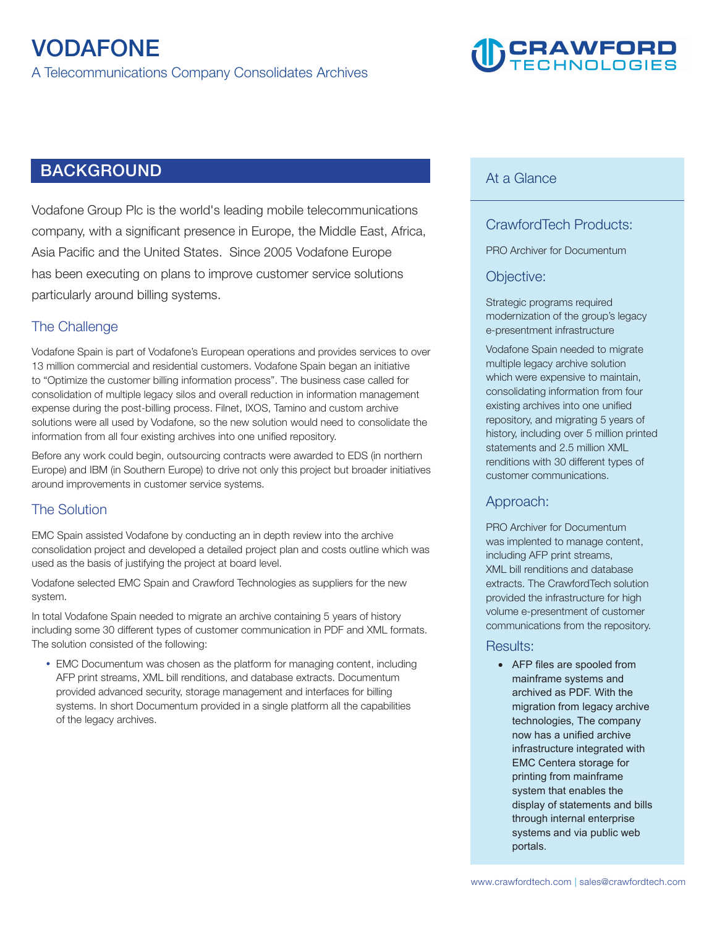

# **BACKGROUND**

**Vodafone Group Plc is the world's leading mobile telecommunications company, with a significant presence in Europe, the Middle East, Africa, Asia Pacific and the United States. Since 2005 Vodafone Europe has been executing on plans to improve customer service solutions particularly around billing systems.** 

### **The Challenge**

**Vodafone Spain is part of Vodafone's European operations and provides services to over 13 million commercial and residential customers. Vodafone Spain began an initiative to "Optimize the customer billing information process". The business case called for consolidation of multiple legacy silos and overall reduction in information management expense during the post-billing process. Filnet, IXOS, Tamino and custom archive solutions were all used by Vodafone, so the new solution would need to consolidate the information from all four existing archives into one unified repository.** 

**Before any work could begin, outsourcing contracts were awarded to EDS (in northern Europe) and IBM (in Southern Europe) to drive not only this project but broader initiatives around improvements in customer service systems.** 

#### **The Solution**

**EMC Spain assisted Vodafone by conducting an in depth review into the archive consolidation project and developed a detailed project plan and costs outline which was used as the basis of justifying the project at board level.** 

**Vodafone selected EMC Spain and Crawford Technologies as suppliers for the new system.** 

**In total Vodafone Spain needed to migrate an archive containing 5 years of history including some 30 different types of customer communication in PDF and XML formats. The solution consisted of the following:** 

 **EMC Documentum was chosen as the platform for managing content, including AFP print streams, XML bill renditions, and database extracts. Documentum provided advanced security, storage management and interfaces for billing systems. In short Documentum provided in a single platform all the capabilities of the legacy archives.**

#### **At a Glance**

## **CrawfordTech Products:**

**PRO Archiver for Documentum** 

#### **Objective:**

**Strategic programs required modernization of the group's legacy e-presentment infrastructure**

**Vodafone Spain needed to migrate multiple legacy archive solution which were expensive to maintain, consolidating information from four existing archives into one unified repository, and migrating 5 years of history, including over 5 million printed statements and 2.5 million XML renditions with 30 different types of customer communications.** 

#### **Approach:**

**PRO Archiver for Documentum was implented to manage content, including AFP print streams, XML bill renditions and database extracts. The CrawfordTech solution provided the infrastructure for high volume e-presentment of customer communications from the repository.** 

#### **Results:**

• AFP files are spooled from mainframe systems and archived as PDF. With the migration from legacy archive technologies, The company now has a unified archive infrastructure integrated with EMC Centera storage for printing from mainframe system that enables the display of statements and bills through internal enterprise systems and via public web portals.